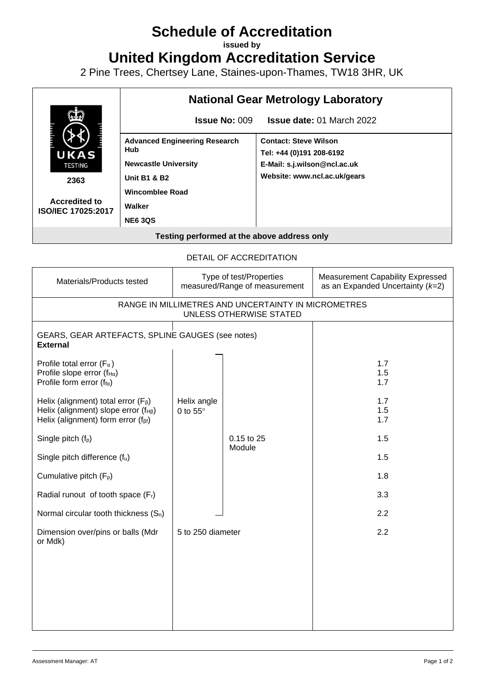## **Schedule of Accreditation**

**issued by**

**United Kingdom Accreditation Service**

2 Pine Trees, Chertsey Lane, Staines-upon-Thames, TW18 3HR, UK



## DETAIL OF ACCREDITATION

| Materials/Products tested                                                                                                             |                                | Type of test/Properties<br>measured/Range of measurement | <b>Measurement Capability Expressed</b><br>as an Expanded Uncertainty $(k=2)$ |  |  |  |  |
|---------------------------------------------------------------------------------------------------------------------------------------|--------------------------------|----------------------------------------------------------|-------------------------------------------------------------------------------|--|--|--|--|
| RANGE IN MILLIMETRES AND UNCERTAINTY IN MICROMETRES<br>UNLESS OTHERWISE STATED                                                        |                                |                                                          |                                                                               |  |  |  |  |
| GEARS, GEAR ARTEFACTS, SPLINE GAUGES (see notes)<br><b>External</b>                                                                   |                                |                                                          |                                                                               |  |  |  |  |
| Profile total error ( $F_{\alpha}$ )<br>Profile slope error ( $f_{H\alpha}$ )<br>Profile form error ( $f_{\text{fa}}$ )               |                                |                                                          | 1.7<br>1.5<br>1.7                                                             |  |  |  |  |
| Helix (alignment) total error $(F_\beta)$<br>Helix (alignment) slope error $(f_{HB})$<br>Helix (alignment) form error $(f_{\beta f})$ | Helix angle<br>0 to $55^\circ$ |                                                          | 1.7<br>1.5<br>1.7                                                             |  |  |  |  |
| Single pitch $(f_p)$                                                                                                                  |                                | 0.15 to 25<br>Module                                     | 1.5                                                                           |  |  |  |  |
| Single pitch difference (fu)                                                                                                          |                                |                                                          | 1.5                                                                           |  |  |  |  |
| Cumulative pitch (F <sub>p</sub> )                                                                                                    |                                |                                                          | 1.8                                                                           |  |  |  |  |
| Radial runout of tooth space (Fr)                                                                                                     |                                |                                                          | 3.3                                                                           |  |  |  |  |
| Normal circular tooth thickness $(S_n)$                                                                                               |                                |                                                          | 2.2                                                                           |  |  |  |  |
| Dimension over/pins or balls (Mdr<br>or Mdk)                                                                                          | 5 to 250 diameter              |                                                          | 2.2                                                                           |  |  |  |  |
|                                                                                                                                       |                                |                                                          |                                                                               |  |  |  |  |
|                                                                                                                                       |                                |                                                          |                                                                               |  |  |  |  |
|                                                                                                                                       |                                |                                                          |                                                                               |  |  |  |  |
|                                                                                                                                       |                                |                                                          |                                                                               |  |  |  |  |